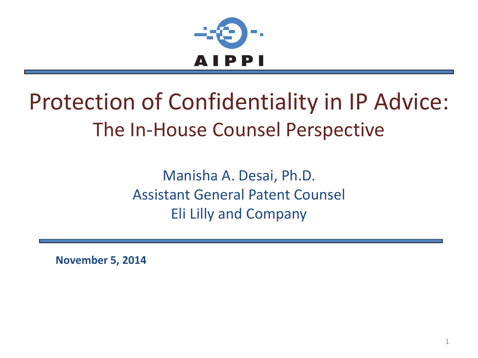

#### Protection of Confidentiality in IP Advice: The In-House Counsel Perspective

Manisha A. Desai, Ph.D. Assistant General Patent Counsel Eli Lilly and Company

**November 5, 2014**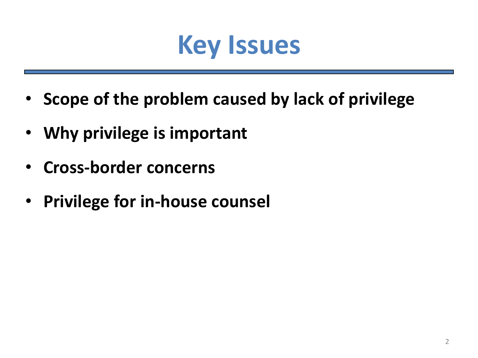

- **Scope of the problem caused by lack of privilege**
- **Why privilege is important**
- **Cross-border concerns**
- **Privilege for in-house counsel**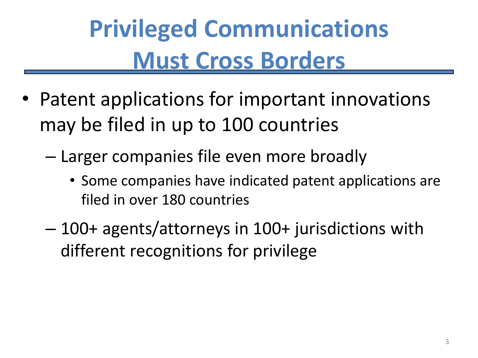### **Privileged Communications Must Cross Borders**

- Patent applications for important innovations may be filed in up to 100 countries
	- Larger companies file even more broadly
		- Some companies have indicated patent applications are filed in over 180 countries
	- 100+ agents/attorneys in 100+ jurisdictions with different recognitions for privilege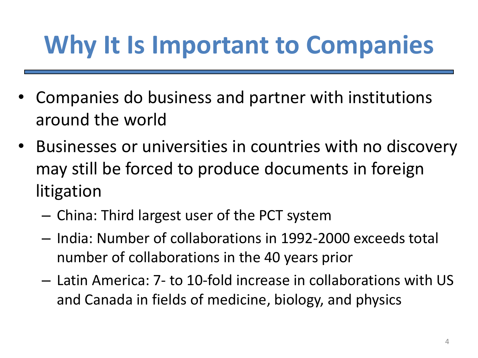#### **Why It Is Important to Companies**

- Companies do business and partner with institutions around the world
- Businesses or universities in countries with no discovery may still be forced to produce documents in foreign litigation
	- China: Third largest user of the PCT system
	- India: Number of collaborations in 1992-2000 exceeds total number of collaborations in the 40 years prior
	- Latin America: 7- to 10-fold increase in collaborations with US and Canada in fields of medicine, biology, and physics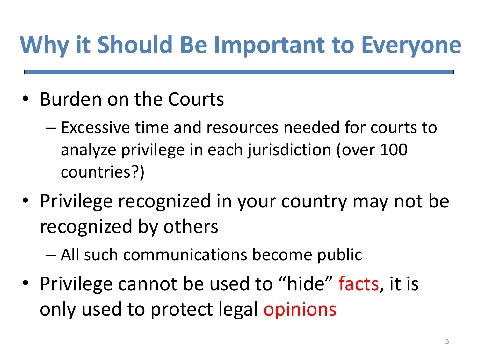#### **Why it Should Be Important to Everyone**

- Burden on the Courts
	- Excessive time and resources needed for courts to analyze privilege in each jurisdiction (over 100 countries?)
- Privilege recognized in your country may not be recognized by others
	- All such communications become public
- Privilege cannot be used to "hide" facts, it is only used to protect legal opinions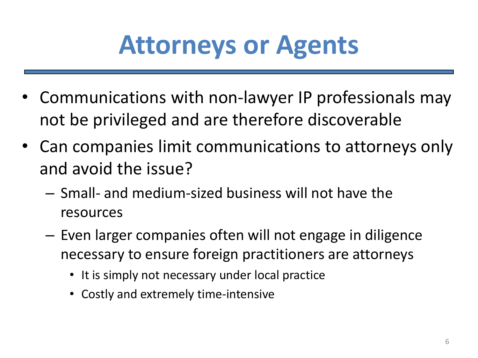### **Attorneys or Agents**

- Communications with non-lawyer IP professionals may not be privileged and are therefore discoverable
- Can companies limit communications to attorneys only and avoid the issue?
	- Small- and medium-sized business will not have the resources
	- Even larger companies often will not engage in diligence necessary to ensure foreign practitioners are attorneys
		- It is simply not necessary under local practice
		- Costly and extremely time-intensive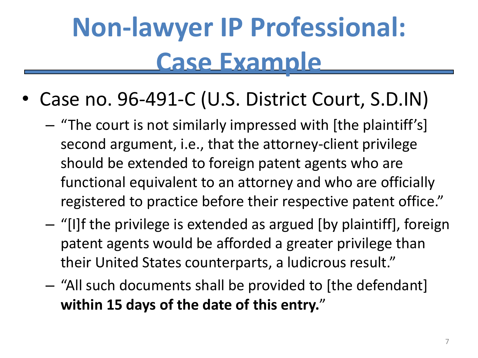# **Non-lawyer IP Professional: Case Example**

- Case no. 96-491-C (U.S. District Court, S.D.IN)
	- "The court is not similarly impressed with [the plaintiff's] second argument, i.e., that the attorney-client privilege should be extended to foreign patent agents who are functional equivalent to an attorney and who are officially registered to practice before their respective patent office."
	- "[I]f the privilege is extended as argued [by plaintiff], foreign patent agents would be afforded a greater privilege than their United States counterparts, a ludicrous result."
	- "All such documents shall be provided to [the defendant] **within 15 days of the date of this entry.**"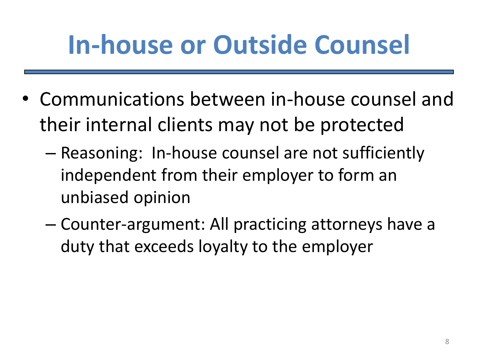## **In-house or Outside Counsel**

- Communications between in-house counsel and their internal clients may not be protected
	- Reasoning: In-house counsel are not sufficiently independent from their employer to form an unbiased opinion
	- Counter-argument: All practicing attorneys have a duty that exceeds loyalty to the employer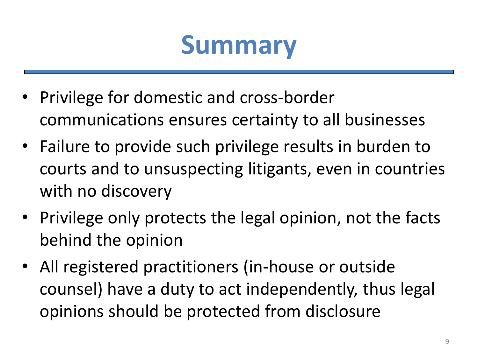#### **Summary**

- Privilege for domestic and cross-border communications ensures certainty to all businesses
- Failure to provide such privilege results in burden to courts and to unsuspecting litigants, even in countries with no discovery
- Privilege only protects the legal opinion, not the facts behind the opinion
- All registered practitioners (in-house or outside counsel) have a duty to act independently, thus legal opinions should be protected from disclosure